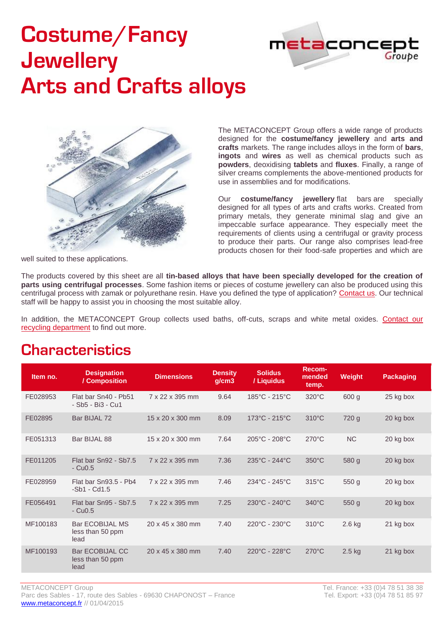# **Costume/Fancy Jewellery Arts and Crafts alloys**





The METACONCEPT Group offers a wide range of products designed for the **costume/fancy jewellery** and **arts and crafts** markets. The range includes alloys in the form of **bars**, **ingots** and **wires** as well as chemical products such as **powders**, deoxidising **tablets** and **fluxes**. Finally, a range of silver creams complements the above-mentioned products for use in assemblies and for modifications.

Our **costume/fancy jewellery** flat bars are specially designed for all types of arts and crafts works. Created from primary metals, they generate minimal slag and give an impeccable surface appearance. They especially meet the requirements of clients using a centrifugal or gravity process to produce their parts. Our range also comprises lead-free products chosen for their food-safe properties and which are

well suited to these applications.

The products covered by this sheet are all **tin-based alloys that have been specially developed for the creation of parts using centrifugal processes**. Some fashion items or pieces of costume jewellery can also be produced using this centrifugal process with zamak or polyurethane resin. Have you defined the type of application? [Contact us.](mailto:export@metaconcept.fr) Our technical staff will be happy to assist you in choosing the most suitable alloy.

In addition, the METACONCEPT Group collects used baths, off-cuts, scraps and white metal oxides. Contact our [recycling department](mailto:export@metaconcept.fr) to find out more.

### **Characteristics**

| Item no. | <b>Designation</b><br>/ Composition                | <b>Dimensions</b>            | <b>Density</b><br>g/cm3 | <b>Solidus</b><br>/ Liquidus       | <b>Recom-</b><br>mended<br>temp. | <b>Weight</b>    | Packaging |
|----------|----------------------------------------------------|------------------------------|-------------------------|------------------------------------|----------------------------------|------------------|-----------|
| FE028953 | Flat bar Sn40 - Pb51<br>- Sb5 - Bi3 - Cu1          | 7 x 22 x 395 mm              | 9.64                    | 185°C - 215°C                      | $320^{\circ}$ C                  | 600 g            | 25 kg box |
| FE02895  | Bar BIJAL 72                                       | $15 \times 20 \times 300$ mm | 8.09                    | $173^{\circ}$ C - 215 $^{\circ}$ C | $310^{\circ}$ C                  | 720 g            | 20 kg box |
| FE051313 | Bar BIJAL 88                                       | 15 x 20 x 300 mm             | 7.64                    | 205°C - 208°C                      | $270^{\circ}$ C                  | <b>NC</b>        | 20 kg box |
| FE011205 | Flat bar Sn92 - Sb7.5<br>$-Cu0.5$                  | 7 x 22 x 395 mm              | 7.36                    | 235°C - 244°C                      | $350^{\circ}$ C                  | 580 g            | 20 kg box |
| FE028959 | Flat bar Sn93.5 - Pb4<br>$-Sb1 - Cd1.5$            | 7 x 22 x 395 mm              | 7.46                    | $234^{\circ}$ C - 245 $^{\circ}$ C | $315^{\circ}$ C                  | 550q             | 20 kg box |
| FE056491 | Flat bar Sn95 - Sb7.5<br>$-Cu0.5$                  | 7 x 22 x 395 mm              | 7.25                    | 230°C - 240°C                      | $340^{\circ}$ C                  | 550 <sub>g</sub> | 20 kg box |
| MF100183 | <b>Bar ECOBIJAL MS</b><br>less than 50 ppm<br>lead | 20 x 45 x 380 mm             | 7.40                    | 220°C - 230°C                      | $310^{\circ}$ C                  | $2.6$ kg         | 21 kg box |
| MF100193 | <b>Bar ECOBIJAL CC</b><br>less than 50 ppm<br>lead | 20 x 45 x 380 mm             | 7.40                    | 220°C - 228°C                      | $270^{\circ}$ C                  | $2.5$ kg         | 21 kg box |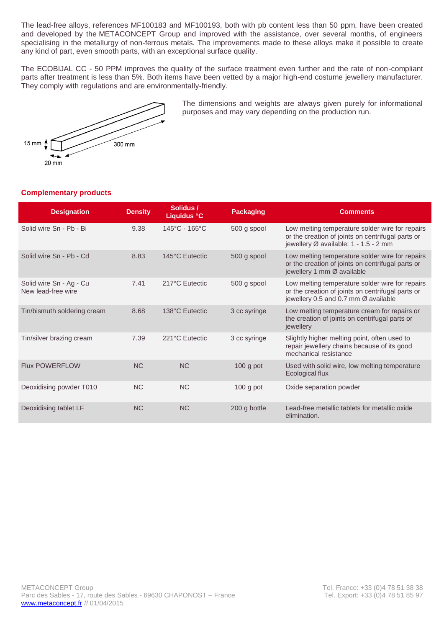The lead-free alloys, references MF100183 and MF100193, both with pb content less than 50 ppm, have been created and developed by the METACONCEPT Group and improved with the assistance, over several months, of engineers specialising in the metallurgy of non-ferrous metals. The improvements made to these alloys make it possible to create any kind of part, even smooth parts, with an exceptional surface quality.

The ECOBIJAL CC - 50 PPM improves the quality of the surface treatment even further and the rate of non-compliant parts after treatment is less than 5%. Both items have been vetted by a major high-end costume jewellery manufacturer. They comply with regulations and are environmentally-friendly.



The dimensions and weights are always given purely for informational purposes and may vary depending on the production run.

#### **Complementary products**

| <b>Designation</b>                            | <b>Density</b> | Solidus /<br>Liquidus °C | <b>Packaging</b> | <b>Comments</b>                                                                                                                               |
|-----------------------------------------------|----------------|--------------------------|------------------|-----------------------------------------------------------------------------------------------------------------------------------------------|
| Solid wire Sn - Pb - Bi                       | 9.38           | 145°C - 165°C            | 500 g spool      | Low melting temperature solder wire for repairs<br>or the creation of joints on centrifugal parts or<br>jewellery Ø available: 1 - 1.5 - 2 mm |
| Solid wire Sn - Pb - Cd                       | 8.83           | 145°C Eutectic           | 500 g spool      | Low melting temperature solder wire for repairs<br>or the creation of joints on centrifugal parts or<br>jewellery 1 mm Ø available            |
| Solid wire Sn - Ag - Cu<br>New lead-free wire | 7.41           | 217°C Eutectic           | 500 g spool      | Low melting temperature solder wire for repairs<br>or the creation of joints on centrifugal parts or<br>jewellery 0.5 and 0.7 mm Ø available  |
| Tin/bismuth soldering cream                   | 8.68           | 138°C Eutectic           | 3 cc syringe     | Low melting temperature cream for repairs or<br>the creation of joints on centrifugal parts or<br>jewellery                                   |
| Tin/silver brazing cream                      | 7.39           | 221°C Eutectic           | 3 cc syringe     | Slightly higher melting point, often used to<br>repair jewellery chains because of its good<br>mechanical resistance                          |
| <b>Flux POWERFLOW</b>                         | NC             | <b>NC</b>                | $100$ g pot      | Used with solid wire, low melting temperature<br>Ecological flux                                                                              |
| Deoxidising powder T010                       | NC             | <b>NC</b>                | $100$ g pot      | Oxide separation powder                                                                                                                       |
| Deoxidising tablet LF                         | <b>NC</b>      | <b>NC</b>                | 200 g bottle     | Lead-free metallic tablets for metallic oxide<br>elimination.                                                                                 |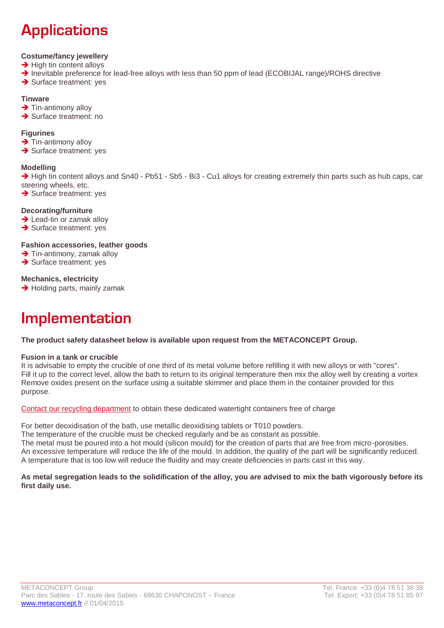# **Applications**

#### **Costume/fancy jewellery**

- $\rightarrow$  High tin content alloys
- → Inevitable preference for lead-free alloys with less than 50 ppm of lead (ECOBIJAL range)/ROHS directive
- $\rightarrow$  Surface treatment: yes

#### **Tinware**

- $\rightarrow$  Tin-antimony alloy
- $\rightarrow$  Surface treatment: no

#### **Figurines**

- $\rightarrow$  Tin-antimony alloy
- $\rightarrow$  Surface treatment: yes

#### **Modelling**

 $\rightarrow$  High tin content alloys and Sn40 - Pb51 - Sb5 - Bi3 - Cu1 alloys for creating extremely thin parts such as hub caps, car steering wheels, etc.

 $\rightarrow$  Surface treatment: yes

#### **Decorating/furniture**

- $\rightarrow$  Lead-tin or zamak alloy
- $\rightarrow$  Surface treatment: yes

#### **Fashion accessories, leather goods**

- $\rightarrow$  Tin-antimony, zamak alloy
- $\rightarrow$  Surface treatment: yes

#### **Mechanics, electricity**

 $\rightarrow$  Holding parts, mainly zamak

## **Implementation**

**The product safety datasheet below is available upon request from the METACONCEPT Group.** 

#### **Fusion in a tank or crucible**

It is advisable to empty the crucible of one third of its metal volume before refilling it with new alloys or with "cores". Fill it up to the correct level, allow the bath to return to its original temperature then mix the alloy well by creating a vortex Remove oxides present on the surface using a suitable skimmer and place them in the container provided for this purpose.

[Contact our recycling department](mailto:export@metaconcept.fr) to obtain these dedicated watertight containers free of charge

For better deoxidisation of the bath, use metallic deoxidising tablets or T010 powders.

The temperature of the crucible must be checked regularly and be as constant as possible.

The metal must be poured into a hot mould (silicon mould) for the creation of parts that are free from micro-porosities. An excessive temperature will reduce the life of the mould. In addition, the quality of the part will be significantly reduced. A temperature that is too low will reduce the fluidity and may create deficiencies in parts cast in this way.

#### **As metal segregation leads to the solidification of the alloy, you are advised to mix the bath vigorously before its first daily use.**